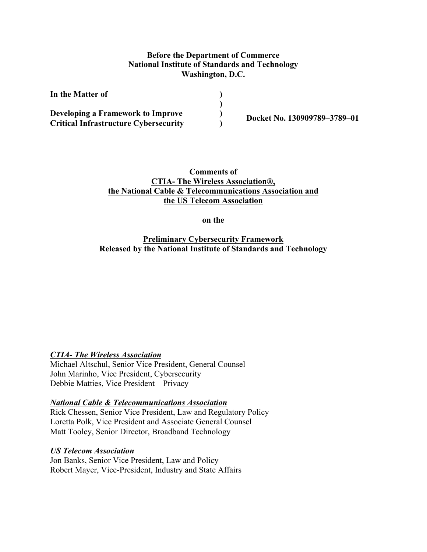### **Before the Department of Commerce National Institute of Standards and Technology Washington, D.C.**

| In the Matter of                             |  |
|----------------------------------------------|--|
| Developing a Framework to Improve            |  |
| <b>Critical Infrastructure Cybersecurity</b> |  |

**) Docket No. 130909789–3789–01** 

# **CTIA- The Wireless Association®, the National Cable & Telecommunications Association and Comments of the US Telecom Association**

on the

 **on the Preliminary Cybersecurity Framework Released by the National Institute of Standards and Technology**

# *CTIA- The Wireless Association*

 Michael Altschul, Senior Vice President, General Counsel Debbie Matties, Vice President – Privacy John Marinho, Vice President, Cybersecurity

#### *National Cable & Telecommunications Association*

 Loretta Polk, Vice President and Associate General Counsel Matt Tooley, Senior Director, Broadband Technology Rick Chessen, Senior Vice President, Law and Regulatory Policy

#### *US Telecom Association*

 Robert Mayer, Vice-President, Industry and State Affairs Jon Banks, Senior Vice President, Law and Policy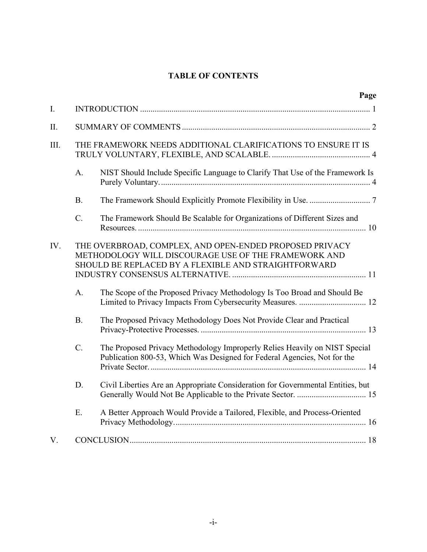# **TABLE OF CONTENTS**

|             |                 | Page                                                                                                                                                                    |  |
|-------------|-----------------|-------------------------------------------------------------------------------------------------------------------------------------------------------------------------|--|
| $I_{\cdot}$ |                 |                                                                                                                                                                         |  |
| II.         |                 |                                                                                                                                                                         |  |
| III.        |                 | THE FRAMEWORK NEEDS ADDITIONAL CLARIFICATIONS TO ENSURE IT IS                                                                                                           |  |
|             | A.              | NIST Should Include Specific Language to Clarify That Use of the Framework Is                                                                                           |  |
|             | B.              |                                                                                                                                                                         |  |
|             | $\mathcal{C}$ . | The Framework Should Be Scalable for Organizations of Different Sizes and                                                                                               |  |
| IV.         |                 | THE OVERBROAD, COMPLEX, AND OPEN-ENDED PROPOSED PRIVACY<br>METHODOLOGY WILL DISCOURAGE USE OF THE FRAMEWORK AND<br>SHOULD BE REPLACED BY A FLEXIBLE AND STRAIGHTFORWARD |  |
|             | A.              | The Scope of the Proposed Privacy Methodology Is Too Broad and Should Be<br>Limited to Privacy Impacts From Cybersecurity Measures.  12                                 |  |
|             | B <sub>1</sub>  | The Proposed Privacy Methodology Does Not Provide Clear and Practical                                                                                                   |  |
|             | $C$ .           | The Proposed Privacy Methodology Improperly Relies Heavily on NIST Special<br>Publication 800-53, Which Was Designed for Federal Agencies, Not for the                  |  |
|             | D.              | Civil Liberties Are an Appropriate Consideration for Governmental Entities, but                                                                                         |  |
|             | E.              | A Better Approach Would Provide a Tailored, Flexible, and Process-Oriented                                                                                              |  |
| V.          |                 |                                                                                                                                                                         |  |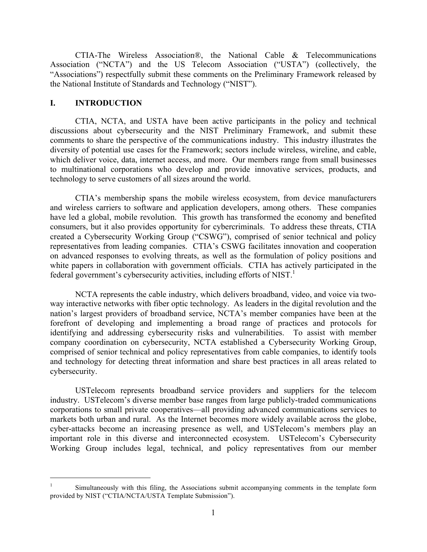CTIA-The Wireless Association®, the National Cable & Telecommunications Association ("NCTA") and the US Telecom Association ("USTA") (collectively, the "Associations") respectfully submit these comments on the Preliminary Framework released by the National Institute of Standards and Technology ("NIST").

#### **I. INTRODUCTION**

 $\overline{a}$ 

 CTIA, NCTA, and USTA have been active participants in the policy and technical discussions about cybersecurity and the NIST Preliminary Framework, and submit these comments to share the perspective of the communications industry. This industry illustrates the diversity of potential use cases for the Framework; sectors include wireless, wireline, and cable, which deliver voice, data, internet access, and more. Our members range from small businesses to multinational corporations who develop and provide innovative services, products, and technology to serve customers of all sizes around the world.

 CTIA's membership spans the mobile wireless ecosystem, from device manufacturers and wireless carriers to software and application developers, among others. These companies have led a global, mobile revolution. This growth has transformed the economy and benefited consumers, but it also provides opportunity for cybercriminals. To address these threats, CTIA representatives from leading companies. CTIA's CSWG facilitates innovation and cooperation on advanced responses to evolving threats, as well as the formulation of policy positions and white papers in collaboration with government officials. CTIA has actively participated in the federal government's cybersecurity activities, including efforts of NIST.<sup>1</sup> created a Cybersecurity Working Group ("CSWG"), comprised of senior technical and policy

 NCTA represents the cable industry, which delivers broadband, video, and voice via two- way interactive networks with fiber optic technology. As leaders in the digital revolution and the nation's largest providers of broadband service, NCTA's member companies have been at the forefront of developing and implementing a broad range of practices and protocols for identifying and addressing cybersecurity risks and vulnerabilities. To assist with member comprised of senior technical and policy representatives from cable companies, to identify tools and technology for detecting threat information and share best practices in all areas related to company coordination on cybersecurity, NCTA established a Cybersecurity Working Group, cybersecurity.

 USTelecom represents broadband service providers and suppliers for the telecom industry. USTelecom's diverse member base ranges from large publicly-traded communications corporations to small private cooperatives—all providing advanced communications services to markets both urban and rural. As the Internet becomes more widely available across the globe, cyber-attacks become an increasing presence as well, and USTelecom's members play an important role in this diverse and interconnected ecosystem. USTelecom's Cybersecurity Working Group includes legal, technical, and policy representatives from our member

Simultaneously with this filing, the Associations submit accompanying comments in the template form provided by NIST ("CTIA/NCTA/USTA Template Submission"). 1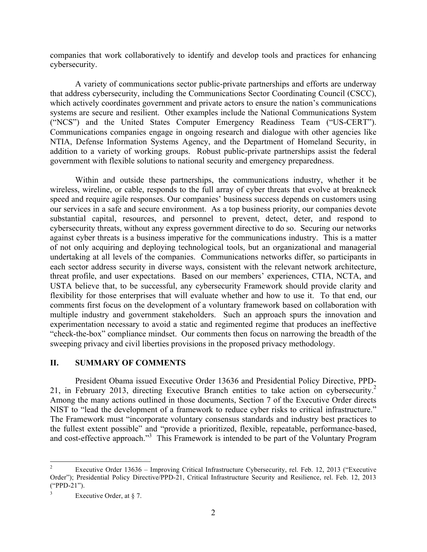companies that work collaboratively to identify and develop tools and practices for enhancing cybersecurity.

 A variety of communications sector public-private partnerships and efforts are underway that address cybersecurity, including the Communications Sector Coordinating Council (CSCC), which actively coordinates government and private actors to ensure the nation's communications systems are secure and resilient. Other examples include the National Communications System ("NCS") and the United States Computer Emergency Readiness Team ("US-CERT"). Communications companies engage in ongoing research and dialogue with other agencies like NTIA, Defense Information Systems Agency, and the Department of Homeland Security, in addition to a variety of working groups. Robust public-private partnerships assist the federal government with flexible solutions to national security and emergency preparedness.

 Within and outside these partnerships, the communications industry, whether it be wireless, wireline, or cable, responds to the full array of cyber threats that evolve at breakneck speed and require agile responses. Our companies' business success depends on customers using our services in a safe and secure environment. As a top business priority, our companies devote cybersecurity threats, without any express government directive to do so. Securing our networks against cyber threats is a business imperative for the communications industry. This is a matter of not only acquiring and deploying technological tools, but an organizational and managerial undertaking at all levels of the companies. Communications networks differ, so participants in each sector address security in diverse ways, consistent with the relevant network architecture, USTA believe that, to be successful, any cybersecurity Framework should provide clarity and flexibility for those enterprises that will evaluate whether and how to use it. To that end, our comments first focus on the development of a voluntary framework based on collaboration with multiple industry and government stakeholders. Such an approach spurs the innovation and experimentation necessary to avoid a static and regimented regime that produces an ineffective "check-the-box" compliance mindset. Our comments then focus on narrowing the breadth of the substantial capital, resources, and personnel to prevent, detect, deter, and respond to threat profile, and user expectations. Based on our members' experiences, CTIA, NCTA, and sweeping privacy and civil liberties provisions in the proposed privacy methodology.

#### **II. SUMMARY OF COMMENTS**

 President Obama issued Executive Order 13636 and Presidential Policy Directive, PPD-21, in February 2013, directing Executive Branch entities to take action on cybersecurity.<sup>2</sup> Among the many actions outlined in those documents, Section 7 of the Executive Order directs NIST to "lead the development of a framework to reduce cyber risks to critical infrastructure." The Framework must "incorporate voluntary consensus standards and industry best practices to the fullest extent possible" and "provide a prioritized, flexible, repeatable, performance-based, and cost-effective approach."<sup>3</sup> This Framework is intended to be part of the Voluntary Program

 $\overline{a}$  Order"); Presidential Policy Directive/PPD-21, Critical Infrastructure Security and Resilience, rel. Feb. 12, 2013 2 Executive Order 13636 – Improving Critical Infrastructure Cybersecurity, rel. Feb. 12, 2013 ("Executive ("PPD-21").

 $\overline{\mathbf{3}}$ Executive Order, at § 7.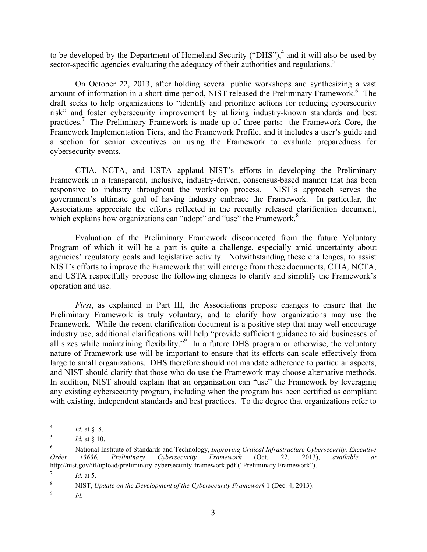to be developed by the Department of Homeland Security ("DHS"),<sup>4</sup> and it will also be used by sector-specific agencies evaluating the adequacy of their authorities and regulations.<sup>5</sup>

 On October 22, 2013, after holding several public workshops and synthesizing a vast amount of information in a short time period, NIST released the Preliminary Framework.<sup>6</sup> The draft seeks to help organizations to "identify and prioritize actions for reducing cybersecurity risk" and foster cybersecurity improvement by utilizing industry-known standards and best practices.<sup>7</sup> The Preliminary Framework is made up of three parts: the Framework Core, the Framework Implementation Tiers, and the Framework Profile, and it includes a user's guide and a section for senior executives on using the Framework to evaluate preparedness for cybersecurity events.

 CTIA, NCTA, and USTA applaud NIST's efforts in developing the Preliminary Framework in a transparent, inclusive, industry-driven, consensus-based manner that has been responsive to industry throughout the workshop process. NIST's approach serves the government's ultimate goal of having industry embrace the Framework. In particular, the Associations appreciate the efforts reflected in the recently released clarification document, which explains how organizations can "adopt" and "use" the Framework.<sup>8</sup>

 Evaluation of the Preliminary Framework disconnected from the future Voluntary Program of which it will be a part is quite a challenge, especially amid uncertainty about agencies' regulatory goals and legislative activity. Notwithstanding these challenges, to assist NIST's efforts to improve the Framework that will emerge from these documents, CTIA, NCTA, and USTA respectfully propose the following changes to clarify and simplify the Framework's operation and use.

 *First*, as explained in Part III, the Associations propose changes to ensure that the Preliminary Framework is truly voluntary, and to clarify how organizations may use the Framework. While the recent clarification document is a positive step that may well encourage industry use, additional clarifications will help "provide sufficient guidance to aid businesses of all sizes while maintaining flexibility."<sup>9</sup> In a future DHS program or otherwise, the voluntary nature of Framework use will be important to ensure that its efforts can scale effectively from large to small organizations. DHS therefore should not mandate adherence to particular aspects, and NIST should clarify that those who do use the Framework may choose alternative methods. In addition, NIST should explain that an organization can "use" the Framework by leveraging any existing cybersecurity program, including when the program has been certified as compliant with existing, independent standards and best practices. To the degree that organizations refer to

<sup>4</sup>*Id.* at § 8.

<sup>5</sup> <sup>5</sup>*Id.* at § 10.

<sup>6</sup>  6 National Institute of Standards and Technology, *Improving Critical Infrastructure Cybersecurity, Executive Order 13636, Preliminary Cybersecurity Framework* (Oct. 22, 2013), *available at*  http://nist.gov/itl/upload/preliminary-cybersecurity-framework.pdf ("Preliminary Framework").

 $7\phantom{.0}$ <sup>7</sup>*Id.* at 5.

 $\,$  8  $\,$ 8 NIST, *Update on the Development of the Cybersecurity Framework* 1 (Dec. 4, 2013).

 $\boldsymbol{9}$ *Id.*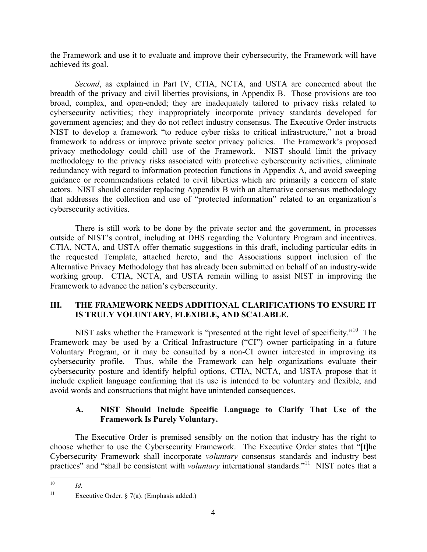the Framework and use it to evaluate and improve their cybersecurity, the Framework will have achieved its goal.

 *Second*, as explained in Part IV, CTIA, NCTA, and USTA are concerned about the breadth of the privacy and civil liberties provisions, in Appendix B. Those provisions are too broad, complex, and open-ended; they are inadequately tailored to privacy risks related to government agencies; and they do not reflect industry consensus. The Executive Order instructs NIST to develop a framework "to reduce cyber risks to critical infrastructure," not a broad framework to address or improve private sector privacy policies. The Framework's proposed privacy methodology could chill use of the Framework. NIST should limit the privacy guidance or recommendations related to civil liberties which are primarily a concern of state actors. NIST should consider replacing Appendix B with an alternative consensus methodology that addresses the collection and use of "protected information" related to an organization's cybersecurity activities; they inappropriately incorporate privacy standards developed for methodology to the privacy risks associated with protective cybersecurity activities, eliminate redundancy with regard to information protection functions in Appendix A, and avoid sweeping cybersecurity activities.

 There is still work to be done by the private sector and the government, in processes outside of NIST's control, including at DHS regarding the Voluntary Program and incentives. CTIA, NCTA, and USTA offer thematic suggestions in this draft, including particular edits in the requested Template, attached hereto, and the Associations support inclusion of the Alternative Privacy Methodology that has already been submitted on behalf of an industry-wide working group. CTIA, NCTA, and USTA remain willing to assist NIST in improving the Framework to advance the nation's cybersecurity.

# **III. THE FRAMEWORK NEEDS ADDITIONAL CLARIFICATIONS TO ENSURE IT IS TRULY VOLUNTARY, FLEXIBLE, AND SCALABLE.**

 Framework may be used by a Critical Infrastructure ("CI") owner participating in a future Voluntary Program, or it may be consulted by a non-CI owner interested in improving its cybersecurity profile. Thus, while the Framework can help organizations evaluate their cybersecurity posture and identify helpful options, CTIA, NCTA, and USTA propose that it include explicit language confirming that its use is intended to be voluntary and flexible, and NIST asks whether the Framework is "presented at the right level of specificity."<sup>10</sup> The avoid words and constructions that might have unintended consequences.

# **A. NIST Should Include Specific Language to Clarify That Use of the Framework Is Purely Voluntary.**

 choose whether to use the Cybersecurity Framework. The Executive Order states that "[t]he Cybersecurity Framework shall incorporate *voluntary* consensus standards and industry best practices" and "shall be consistent with *voluntary* international standards."<sup>11</sup> NIST notes that a The Executive Order is premised sensibly on the notion that industry has the right to

 $Id$ .

 $11\,$ Executive Order,  $\S$  7(a). (Emphasis added.)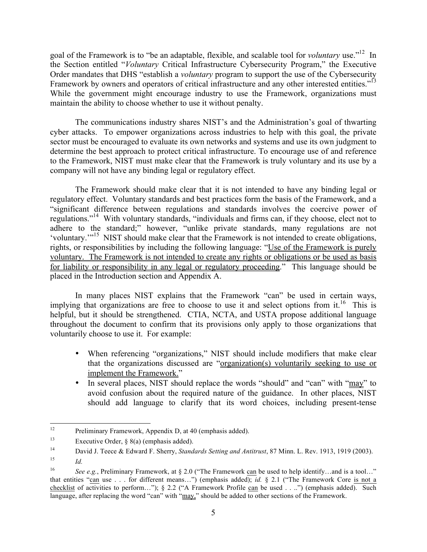goal of the Framework is to "be an adaptable, flexible, and scalable tool for *voluntary* use."12 In the Section entitled "*Voluntary* Critical Infrastructure Cybersecurity Program," the Executive Order mandates that DHS "establish a *voluntary* program to support the use of the Cybersecurity Framework by owners and operators of critical infrastructure and any other interested entities."<sup>13</sup> While the government might encourage industry to use the Framework, organizations must maintain the ability to choose whether to use it without penalty.

 maintain the ability to choose whether to use it without penalty. The communications industry shares NIST's and the Administration's goal of thwarting cyber attacks. To empower organizations across industries to help with this goal, the private sector must be encouraged to evaluate its own networks and systems and use its own judgment to determine the best approach to protect critical infrastructure. To encourage use of and reference to the Framework, NIST must make clear that the Framework is truly voluntary and its use by a company will not have any binding legal or regulatory effect.

 The Framework should make clear that it is not intended to have any binding legal or regulatory effect. Voluntary standards and best practices form the basis of the Framework, and a "significant difference between regulations and standards involves the coercive power of regulations."14 With voluntary standards, "individuals and firms can, if they choose, elect not to adhere to the standard;" however, "unlike private standards, many regulations are not 'voluntary.'"15 NIST should make clear that the Framework is not intended to create obligations, rights, or responsibilities by including the following language: "Use of the Framework is purely voluntary. The Framework is not intended to create any rights or obligations or be used as basis for liability or responsibility in any legal or regulatory proceeding." This language should be placed in the Introduction section and Appendix A.

 In many places NIST explains that the Framework "can" be used in certain ways, implying that organizations are free to choose to use it and select options from it.<sup>16</sup> This is helpful, but it should be strengthened. CTIA, NCTA, and USTA propose additional language throughout the document to confirm that its provisions only apply to those organizations that voluntarily choose to use it. For example:

- • When referencing "organizations," NIST should include modifiers that make clear that the organizations discussed are "organization(s) voluntarily seeking to use or implement the Framework."
- In several places, NIST should replace the words "should" and "can" with " $\frac{may}{may}$ " to avoid confusion about the required nature of the guidance. In other places, NIST should add language to clarify that its word choices, including present-tense

 $\overline{a}$ Preliminary Framework, Appendix D, at 40 (emphasis added).

<sup>13</sup> Executive Order,  $\S$  8(a) (emphasis added).

 $14$ 14 David J. Teece & Edward F. Sherry, *Standards Setting and Antitrust*, 87 Minn. L. Rev. 1913, 1919 (2003).

 $15$ *Id.* 

<sup>16</sup>  that entities "can use . . . for different means…") (emphasis added); *id.* § 2.1 ("The Framework Core is not a checklist of activities to perform..."); § 2.2 ("A Framework Profile can be used . ...") (emphasis added). Such language, after replacing the word "can" with "may," should be added to other sections of the Framework. See e.g., Preliminary Framework, at § 2.0 ("The Framework can be used to help identify...and is a tool..."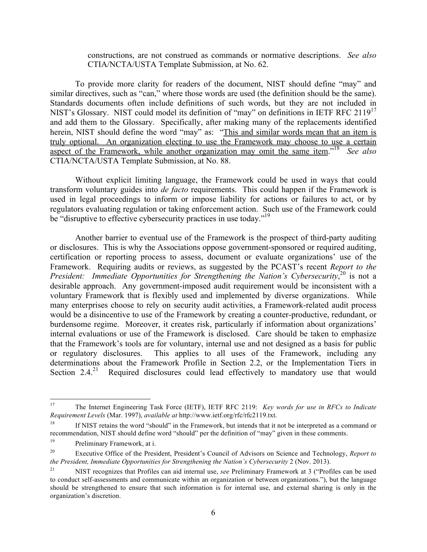constructions, are not construed as commands or normative descriptions. *See also*  CTIA/NCTA/USTA Template Submission, at No. 62.

 To provide more clarity for readers of the document, NIST should define "may" and similar directives, such as "can," where those words are used (the definition should be the same). Standards documents often include definitions of such words, but they are not included in NIST's Glossary. NIST could model its definition of "may" on definitions in IETF RFC 2119<sup>17</sup> and add them to the Glossary. Specifically, after making many of the replacements identified herein, NIST should define the word "may" as: "This and similar words mean that an item is truly optional. An organization electing to use the Framework may choose to use a certain aspect of the Framework, while another organization may omit the same item.<sup>"18</sup> See also CTIA/NCTA/USTA Template Submission, at No. 88.

 Without explicit limiting language, the Framework could be used in ways that could transform voluntary guides into *de facto* requirements. This could happen if the Framework is used in legal proceedings to inform or impose liability for actions or failures to act, or by regulators evaluating regulation or taking enforcement action. Such use of the Framework could be "disruptive to effective cybersecurity practices in use today."<sup>19</sup>

 Another barrier to eventual use of the Framework is the prospect of third-party auditing or disclosures. This is why the Associations oppose government-sponsored or required auditing, certification or reporting process to assess, document or evaluate organizations' use of the Framework. Requiring audits or reviews, as suggested by the PCAST's recent *Report to the*  President: Immediate Opportunities for Strengthening the Nation's Cybersecurity,<sup>20</sup> is not a desirable approach. Any government-imposed audit requirement would be inconsistent with a voluntary Framework that is flexibly used and implemented by diverse organizations. While many enterprises choose to rely on security audit activities, a Framework-related audit process would be a disincentive to use of the Framework by creating a counter-productive, redundant, or burdensome regime. Moreover, it creates risk, particularly if information about organizations' internal evaluations or use of the Framework is disclosed. Care should be taken to emphasize that the Framework's tools are for voluntary, internal use and not designed as a basis for public determinations about the Framework Profile in Section 2.2, or the Implementation Tiers in Section  $2.4.^{21}$ or regulatory disclosures. This applies to all uses of the Framework, including any Required disclosures could lead effectively to mandatory use that would

 *Requirement Levels* (Mar. 1997), *available at* http://www.ietf.org/rfc/rfc2119.txt. 17 The Internet Engineering Task Force (IETF), IETF RFC 2119: *Key words for use in RFCs to Indicate* 

 recommendation, NIST should define word "should" per the definition of "may" given in these comments. 18 If NIST retains the word "should" in the Framework, but intends that it not be interpreted as a command or

<sup>19</sup> Preliminary Framework, at i.

<sup>20</sup> 20 Executive Office of the President, President's Council of Advisors on Science and Technology, *Report to the President, Immediate Opportunities for Strengthening the Nation's Cybersecurity 2 (Nov. 2013).* 

 $21\,$  to conduct self-assessments and communicate within an organization or between organizations."), but the language should be strengthened to ensure that such information is for internal use, and external sharing is only in the 21 NIST recognizes that Profiles can aid internal use, *see* Preliminary Framework at 3 ("Profiles can be used organization's discretion.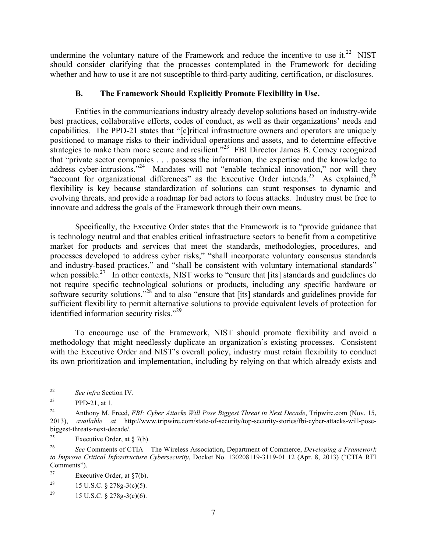undermine the voluntary nature of the Framework and reduce the incentive to use it.<sup>22</sup> NIST should consider clarifying that the processes contemplated in the Framework for deciding whether and how to use it are not susceptible to third-party auditing, certification, or disclosures.

# **B. The Framework Should Explicitly Promote Flexibility in Use.**

 Entities in the communications industry already develop solutions based on industry-wide best practices, collaborative efforts, codes of conduct, as well as their organizations' needs and capabilities. The PPD-21 states that "[c]ritical infrastructure owners and operators are uniquely positioned to manage risks to their individual operations and assets, and to determine effective strategies to make them more secure and resilient."<sup>23</sup> FBI Director James B. Comey recognized that "private sector companies . . . possess the information, the expertise and the knowledge to address cyber-intrusions."<sup>24</sup> Mandates will not "enable technical innovation," nor will they "account for organizational differences" as the Executive Order intends.<sup>25</sup> As explained,<sup>26</sup> flexibility is key because standardization of solutions can stunt responses to dynamic and evolving threats, and provide a roadmap for bad actors to focus attacks. Industry must be free to innovate and address the goals of the Framework through their own means.

 innovate and address the goals of the Framework through their own means. Specifically, the Executive Order states that the Framework is to "provide guidance that is technology neutral and that enables critical infrastructure sectors to benefit from a competitive market for products and services that meet the standards, methodologies, procedures, and processes developed to address cyber risks," "shall incorporate voluntary consensus standards and industry-based practices," and "shall be consistent with voluntary international standards" when possible.<sup>27</sup> In other contexts, NIST works to "ensure that [its] standards and guidelines do not require specific technological solutions or products, including any specific hardware or software security solutions,"<sup>28</sup> and to also "ensure that [its] standards and guidelines provide for sufficient flexibility to permit alternative solutions to provide equivalent levels of protection for identified information security risks."<sup>29</sup>

 To encourage use of the Framework, NIST should promote flexibility and avoid a methodology that might needlessly duplicate an organization's existing processes. Consistent with the Executive Order and NIST's overall policy, industry must retain flexibility to conduct its own prioritization and implementation, including by relying on that which already exists and

 $\overline{a}$ <sup>22</sup>*See infra* Section IV.

<sup>23</sup> PPD-21, at 1.

<sup>24</sup> 24 Anthony M. Freed, *FBI: Cyber Attacks Will Pose Biggest Threat in Next Decade*, Tripwire.com (Nov. 15, 2013), *available at* http://www.tripwire.com/state-of-security/top-security-stories/fbi-cyber-attacks-will-posebiggest-threats-next-decade/.

 $25\,$ Executive Order, at  $\S$  7(b).

<sup>26</sup>  *to Improve Critical Infrastructure Cybersecurity*, Docket No. 130208119-3119-01 12 (Apr. 8, 2013) ("CTIA RFI <sup>26</sup>*See* Comments of CTIA – The Wireless Association, Department of Commerce, *Developing a Framework*  Comments").

<sup>27</sup> Executive Order, at  $\S7(b)$ .

<sup>28</sup> 28 15 U.S.C. § 278g-3(c)(5).

<sup>29</sup> 15 U.S.C. § 278g-3(c)(6).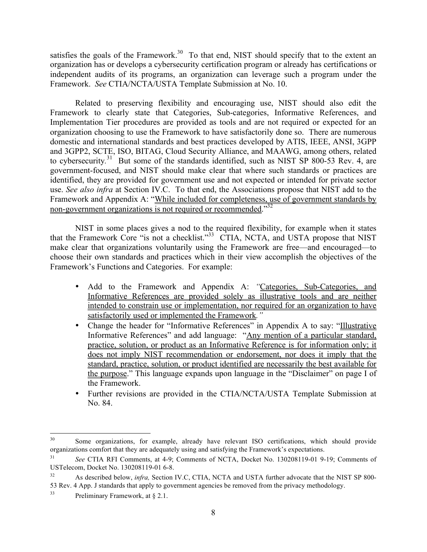satisfies the goals of the Framework.<sup>30</sup> To that end, NIST should specify that to the extent an organization has or develops a cybersecurity certification program or already has certifications or independent audits of its programs, an organization can leverage such a program under the Framework. *See* CTIA/NCTA/USTA Template Submission at No. 10.

 Related to preserving flexibility and encouraging use, NIST should also edit the Framework to clearly state that Categories, Sub-categories, Informative References, and Implementation Tier procedures are provided as tools and are not required or expected for an organization choosing to use the Framework to have satisfactorily done so. There are numerous domestic and international standards and best practices developed by ATIS, IEEE, ANSI, 3GPP to cybersecurity.<sup>31</sup> But some of the standards identified, such as NIST SP 800-53 Rev. 4, are government-focused, and NIST should make clear that where such standards or practices are identified, they are provided for government use and not expected or intended for private sector use. *See also infra* at Section IV.C. To that end, the Associations propose that NIST add to the Framework and Appendix A: "While included for completeness, use of government standards by non-government organizations is not required or recommended.<sup>32</sup> and 3GPP2, SCTE, ISO, BITAG, Cloud Security Alliance, and MAAWG, among others, related

 NIST in some places gives a nod to the required flexibility, for example when it states that the Framework Core "is not a checklist."<sup>33</sup> CTIA, NCTA, and USTA propose that NIST make clear that organizations voluntarily using the Framework are free—and encouraged—to choose their own standards and practices which in their view accomplish the objectives of the Framework's Functions and Categories. For example:

- Informative References are provided solely as illustrative tools and are neither intended to constrain use or implementation, nor required for an organization to have satisfactorily used or implemented the Framework*."* • Add to the Framework and Appendix A: "Categories, Sub-Categories, and
- Change the header for "Informative References" in Appendix A to say: "Illustrative Informative References" and add language: "Any mention of a particular standard, practice, solution, or product as an Informative Reference is for information only; it does not imply NIST recommendation or endorsement, nor does it imply that the standard, practice, solution, or product identified are necessarily the best available for the purpose." This language expands upon language in the "Disclaimer" on page I of the Framework.
- • Further revisions are provided in the CTIA/NCTA/USTA Template Submission at No. 84.

 organizations comfort that they are adequately using and satisfying the Framework's expectations. 30 Some organizations, for example, already have relevant ISO certifications, which should provide

<sup>31</sup> USTelecom, Docket No. 130208119-01 6-8. <sup>31</sup>*See* CTIA RFI Comments, at 4-9; Comments of NCTA, Docket No. 130208119-01 9-19; Comments of

<sup>32</sup>  53 Rev. 4 App. J standards that apply to government agencies be removed from the privacy methodology. As described below, *infra*, Section IV.C, CTIA, NCTA and USTA further advocate that the NIST SP 800-

<sup>33</sup> Preliminary Framework, at § 2.1.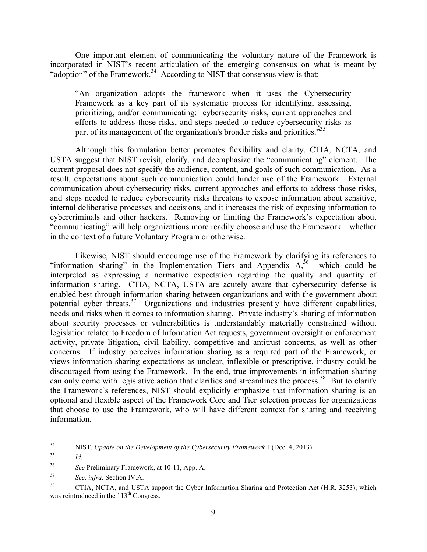incorporated in NIST's recent articulation of the emerging consensus on what is meant by "adoption" of the Framework. $34$  According to NIST that consensus view is that: One important element of communicating the voluntary nature of the Framework is

 "An organization adopts the framework when it uses the Cybersecurity Framework as a key part of its systematic process for identifying, assessing, prioritizing, and/or communicating: cybersecurity risks, current approaches and efforts to address those risks, and steps needed to reduce cybersecurity risks as part of its management of the organization's broader risks and priorities.<sup>35</sup>

 USTA suggest that NIST revisit, clarify, and deemphasize the "communicating" element. The current proposal does not specify the audience, content, and goals of such communication. As a result, expectations about such communication could hinder use of the Framework. External communication about cybersecurity risks, current approaches and efforts to address those risks, and steps needed to reduce cybersecurity risks threatens to expose information about sensitive, internal deliberative processes and decisions, and it increases the risk of exposing information to cybercriminals and other hackers. Removing or limiting the Framework's expectation about "communicating" will help organizations more readily choose and use the Framework—whether Although this formulation better promotes flexibility and clarity, CTIA, NCTA, and in the context of a future Voluntary Program or otherwise.

 Likewise, NIST should encourage use of the Framework by clarifying its references to "information sharing" in the Implementation Tiers and Appendix  $A_1^{36}$  which could be interpreted as expressing a normative expectation regarding the quality and quantity of information sharing. CTIA, NCTA, USTA are acutely aware that cybersecurity defense is enabled best through information sharing between organizations and with the government about potential cyber threats.<sup>37</sup> Organizations and industries presently have different capabilities, needs and risks when it comes to information sharing. Private industry's sharing of information legislation related to Freedom of Information Act requests, government oversight or enforcement concerns. If industry perceives information sharing as a required part of the Framework, or views information sharing expectations as unclear, inflexible or prescriptive, industry could be discouraged from using the Framework. In the end, true improvements in information sharing can only come with legislative action that clarifies and streamlines the process.<sup>38</sup> But to clarify the Framework's references, NIST should explicitly emphasize that information sharing is an optional and flexible aspect of the Framework Core and Tier selection process for organizations that choose to use the Framework, who will have different context for sharing and receiving information about security processes or vulnerabilities is understandably materially constrained without activity, private litigation, civil liability, competitive and antitrust concerns, as well as other

NIST, *Update on the Development of the Cybersecurity Framework* 1 (Dec. 4, 2013). *Id.* 

<sup>35</sup> 

<sup>36</sup> <sup>36</sup>*See* Preliminary Framework, at 10-11, App. A.

<sup>37</sup> <sup>37</sup>*See, infra,* Section IV.A.

<sup>38</sup> was reintroduced in the 113<sup>th</sup> Congress. information.<br>
<sup>34</sup> NIST, *Update on the Developn*<br>
<sup>35</sup> *Id.*<br> *See* Preliminary Framework, at<br> *See, infra*, Section IV.A.<br>
CTIA, NCTA, and USTA sup<br>
was reintroduced in the 113<sup>th</sup> Congress. 38 CTIA, NCTA, and USTA support the Cyber Information Sharing and Protection Act (H.R. 3253), which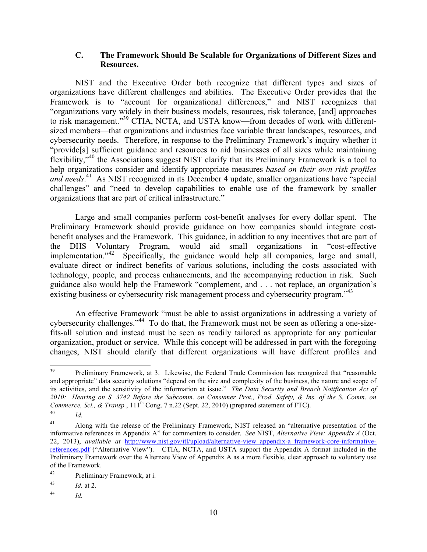#### **C. The Framework Should Be Scalable for Organizations of Different Sizes and Resources.**

 NIST and the Executive Order both recognize that different types and sizes of organizations have different challenges and abilities. The Executive Order provides that the Framework is to "account for organizational differences," and NIST recognizes that to risk management."39 CTIA, NCTA, and USTA know—from decades of work with different- sized members—that organizations and industries face variable threat landscapes, resources, and cybersecurity needs. Therefore, in response to the Preliminary Framework's inquiry whether it "provide[s] sufficient guidance and resources to aid businesses of all sizes while maintaining flexibility, $\ddot{v}^{40}$  the Associations suggest NIST clarify that its Preliminary Framework is a tool to help organizations consider and identify appropriate measures *based on their own risk profiles*  and needs.<sup>41</sup> As NIST recognized in its December 4 update, smaller organizations have "special challenges" and "need to develop capabilities to enable use of the framework by smaller "organizations vary widely in their business models, resources, risk tolerance, [and] approaches organizations that are part of critical infrastructure."

 Large and small companies perform cost-benefit analyses for every dollar spent. The Preliminary Framework should provide guidance on how companies should integrate cost- benefit analyses and the Framework. This guidance, in addition to any incentives that are part of the DHS Voluntary Program, would aid small organizations in "cost-effective implementation."<sup>42</sup> Specifically, the guidance would help all companies, large and small, evaluate direct or indirect benefits of various solutions, including the costs associated with guidance also would help the Framework "complement, and . . . not replace, an organization's existing business or cybersecurity risk management process and cybersecurity program."<sup>43</sup> technology, people, and process enhancements, and the accompanying reduction in risk. Such

 An effective Framework "must be able to assist organizations in addressing a variety of cybersecurity challenges."<sup>44</sup> To do that, the Framework must not be seen as offering a one-size- fits-all solution and instead must be seen as readily tailored as appropriate for any particular organization, product or service. While this concept will be addressed in part with the foregoing changes, NIST should clarify that different organizations will have different profiles and

 $\overline{a}$  and appropriate" data security solutions "depend on the size and complexity of the business, the nature and scope of its activities, and the sensitivity of the information at issue." *The Data Security and Breach Notification Act of 2010: Hearing on S. 3742 Before the Subcomm. on Consumer Prot., Prod. Safety, & Ins. of the S. Comm. on Commerce, Sci., & Transp.*,  $111<sup>th</sup>$  Cong. 7 n.22 (Sept. 22, 2010) (prepared statement of FTC).  $40$ Preliminary Framework, at 3. Likewise, the Federal Trade Commission has recognized that "reasonable" *Id.* 

 $41\,$  informative references in Appendix A" for commenters to consider. *See* NIST, *Alternative View: Appendix A* (Oct. 22, 2013), *available at* http://www.nist.gov/itl/upload/alternative-view\_appendix-a\_framework-core-informativereferences.pdf ("Alternative View"). CTIA, NCTA, and USTA support the Appendix A format included in the Preliminary Framework over the Alternate View of Appendix A as a more flexible, clear approach to voluntary use of the Framework. 41 Along with the release of the Preliminary Framework, NIST released an "alternative presentation of the

<sup>42</sup> Preliminary Framework, at i.

 $43$ <sup>43</sup>*Id.* at 2.

 $44\,$  $Id.$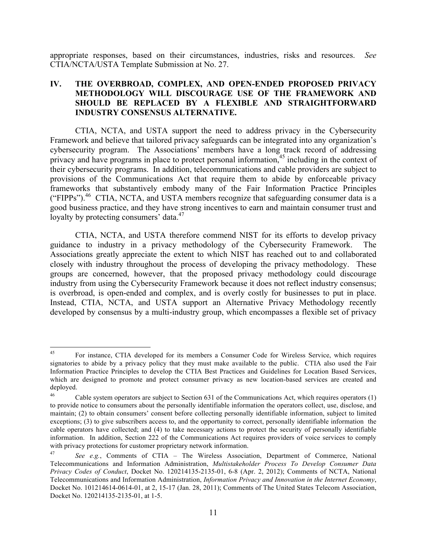CTIA/NCTA/USTA Template Submission at No. 27. appropriate responses, based on their circumstances, industries, risks and resources. *See* 

# **IV. THE OVERBROAD, COMPLEX, AND OPEN-ENDED PROPOSED PRIVACY METHODOLOGY WILL DISCOURAGE USE OF THE FRAMEWORK AND SHOULD BE REPLACED BY A FLEXIBLE AND STRAIGHTFORWARD INDUSTRY CONSENSUS ALTERNATIVE.**

 CTIA, NCTA, and USTA support the need to address privacy in the Cybersecurity Framework and believe that tailored privacy safeguards can be integrated into any organization's cybersecurity program. The Associations' members have a long track record of addressing privacy and have programs in place to protect personal information,<sup>45</sup> including in the context of their cybersecurity programs. In addition, telecommunications and cable providers are subject to provisions of the Communications Act that require them to abide by enforceable privacy frameworks that substantively embody many of the Fair Information Practice Principles ("FIPPs").<sup>46</sup> CTIA, NCTA, and USTA members recognize that safeguarding consumer data is a loyalty by protecting consumers' data.<sup>47</sup> good business practice, and they have strong incentives to earn and maintain consumer trust and

 CTIA, NCTA, and USTA therefore commend NIST for its efforts to develop privacy guidance to industry in a privacy methodology of the Cybersecurity Framework. The Associations greatly appreciate the extent to which NIST has reached out to and collaborated closely with industry throughout the process of developing the privacy methodology. These groups are concerned, however, that the proposed privacy methodology could discourage industry from using the Cybersecurity Framework because it does not reflect industry consensus; is overbroad, is open-ended and complex, and is overly costly for businesses to put in place. Instead, CTIA, NCTA, and USTA support an Alternative Privacy Methodology recently developed by consensus by a multi-industry group, which encompasses a flexible set of privacy

 signatories to abide by a privacy policy that they must make available to the public. CTIA also used the Fair Information Practice Principles to develop the CTIA Best Practices and Guidelines for Location Based Services, which are designed to promote and protect consumer privacy as new location-based services are created and 45 For instance, CTIA developed for its members a Consumer Code for Wireless Service, which requires deployed.

<sup>46</sup>  to provide notice to consumers about the personally identifiable information the operators collect, use, disclose, and maintain; (2) to obtain consumers' consent before collecting personally identifiable information, subject to limited exceptions; (3) to give subscribers access to, and the opportunity to correct, personally identifiable information the cable operators have collected; and (4) to take necessary actions to protect the security of personally identifiable information. In addition, Section 222 of the Communications Act requires providers of voice services to comply with privacy protections for customer proprietary network information. Cable system operators are subject to Section 631 of the Communications Act, which requires operators (1)

 $47\,$  Telecommunications and Information Administration, *Multistakeholder Process To Develop Consumer Data Privacy Codes of Conduct*, Docket No. 120214135-2135-01, 6-8 (Apr. 2, 2012); Comments of NCTA, National Telecommunications and Information Administration, *Information Privacy and Innovation in the Internet Economy*, Docket No. 101214614-0614-01, at 2, 15-17 (Jan. 28, 2011); Comments of The United States Telecom Association, Docket No. 120214135-2135-01, at 1-5. <sup>47</sup>*See e.g.*, Comments of CTIA – The Wireless Association, Department of Commerce, National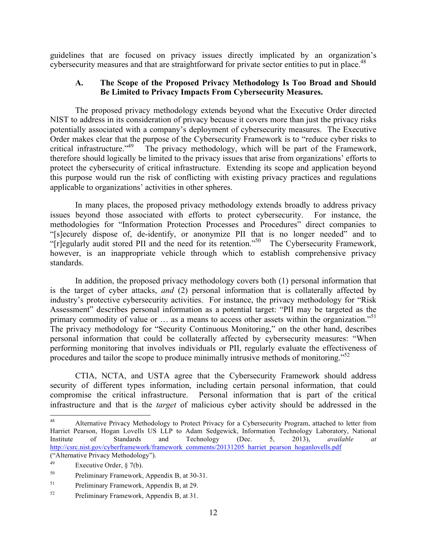guidelines that are focused on privacy issues directly implicated by an organization's cybersecurity measures and that are straightforward for private sector entities to put in place.<sup>48</sup>

# **A. The Scope of the Proposed Privacy Methodology Is Too Broad and Should Be Limited to Privacy Impacts From Cybersecurity Measures.**

 The proposed privacy methodology extends beyond what the Executive Order directed NIST to address in its consideration of privacy because it covers more than just the privacy risks potentially associated with a company's deployment of cybersecurity measures. The Executive Order makes clear that the purpose of the Cybersecurity Framework is to "reduce cyber risks to critical infrastructure."<sup>49</sup> The privacy methodology, which will be part of the Framework, therefore should logically be limited to the privacy issues that arise from organizations' efforts to protect the cybersecurity of critical infrastructure. Extending its scope and application beyond this purpose would run the risk of conflicting with existing privacy practices and regulations applicable to organizations' activities in other spheres.

 In many places, the proposed privacy methodology extends broadly to address privacy issues beyond those associated with efforts to protect cybersecurity. For instance, the methodologies for "Information Protection Processes and Procedures" direct companies to "[s]ecurely dispose of, de-identify, or anonymize PII that is no longer needed" and to "[r]egularly audit stored PII and the need for its retention."<sup>50</sup> The Cybersecurity Framework, however, is an inappropriate vehicle through which to establish comprehensive privacy standards.

 is the target of cyber attacks, *and* (2) personal information that is collaterally affected by industry's protective cybersecurity activities. For instance, the privacy methodology for "Risk Assessment" describes personal information as a potential target: "PII may be targeted as the primary commodity of value or ... as a means to access other assets within the organization."<sup>51</sup> The privacy methodology for "Security Continuous Monitoring," on the other hand, describes personal information that could be collaterally affected by cybersecurity measures: "When performing monitoring that involves individuals or PII, regularly evaluate the effectiveness of procedures and tailor the scope to produce minimally intrusive methods of monitoring.<sup>52</sup> In addition, the proposed privacy methodology covers both (1) personal information that

 CTIA, NCTA, and USTA agree that the Cybersecurity Framework should address security of different types information, including certain personal information, that could compromise the critical infrastructure. Personal information that is part of the critical infrastructure and that is the *target* of malicious cyber activity should be addressed in the

 Harriet Pearson, Hogan Lovells US LLP to Adam Sedgewick, Information Technology Laboratory, National Institute ("Alternative Privacy Methodology"). Alternative Privacy Methodology to Protect Privacy for a Cybersecurity Program, attached to letter from Institute of Standards and Technology (Dec. 5, 2013), *available at*  http://csrc.nist.gov/cyberframework/framework\_comments/20131205\_harriet\_pearson\_hoganlovells.pdf

<sup>49</sup> Executive Order,  $\S$  7(b).

<sup>50</sup> Preliminary Framework, Appendix B, at 30-31.

<sup>51</sup> Preliminary Framework, Appendix B, at 29.

<sup>52</sup> Preliminary Framework, Appendix B, at 31.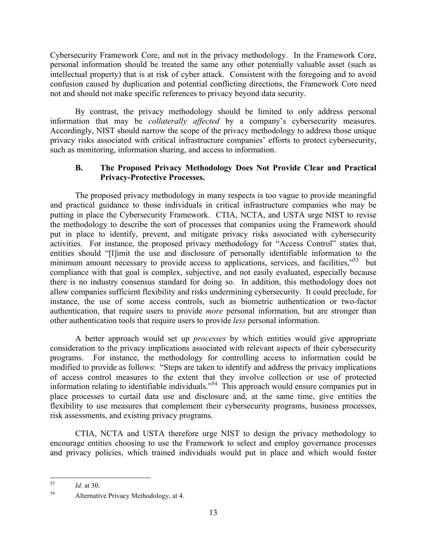Cybersecurity Framework Core, and not in the privacy methodology. In the Framework Core, personal information should be treated the same any other potentially valuable asset (such as intellectual property) that is at risk of cyber attack. Consistent with the foregoing and to avoid confusion caused by duplication and potential conflicting directions, the Framework Core need not and should not make specific references to privacy beyond data security.

 By contrast, the privacy methodology should be limited to only address personal information that may be *collaterally affected* by a company's cybersecurity measures. Accordingly, NIST should narrow the scope of the privacy methodology to address those unique privacy risks associated with critical infrastructure companies' efforts to protect cybersecurity, such as monitoring, information sharing, and access to information.

# **B.** The Proposed Privacy Methodology Does Not Provide Clear and Practical **Privacy-Protective Processes.**

 The proposed privacy methodology in many respects is too vague to provide meaningful and practical guidance to those individuals in critical infrastructure companies who may be putting in place the Cybersecurity Framework. CTIA, NCTA, and USTA urge NIST to revise the methodology to describe the sort of processes that companies using the Framework should put in place to identify, prevent, and mitigate privacy risks associated with cybersecurity activities. For instance, the proposed privacy methodology for "Access Control" states that, entities should "[l]imit the use and disclosure of personally identifiable information to the minimum amount necessary to provide access to applications, services, and facilities,"<sup>53</sup> but compliance with that goal is complex, subjective, and not easily evaluated, especially because there is no industry consensus standard for doing so. In addition, this methodology does not allow companies sufficient flexibility and risks undermining cybersecurity. It could preclude, for instance, the use of some access controls, such as biometric authentication or two-factor authentication, that require users to provide *more* personal information, but are stronger than other authentication tools that require users to provide *less* personal information.

 A better approach would set up *processes* by which entities would give appropriate consideration to the privacy implications associated with relevant aspects of their cybersecurity modified to provide as follows: "Steps are taken to identify and address the privacy implications of access control measures to the extent that they involve collection or use of protected information relating to identifiable individuals."54 This approach would ensure companies put in place processes to curtail data use and disclosure and, at the same time, give entities the flexibility to use measures that complement their cybersecurity programs, business processes, programs. For instance, the methodology for controlling access to information could be risk assessments, and existing privacy programs.

 CTIA, NCTA and USTA therefore urge NIST to design the privacy methodology to encourage entities choosing to use the Framework to select and employ governance processes and privacy policies, which trained individuals would put in place and which would foster

 $\overline{a}$ *Id.* at 30.

<sup>54</sup> Alternative Privacy Methodology, at 4.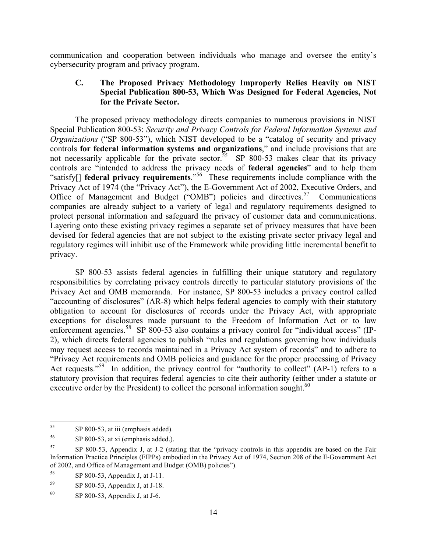communication and cooperation between individuals who manage and oversee the entity's cybersecurity program and privacy program.

# **C. The Proposed Privacy Methodology Improperly Relies Heavily on NIST Special Publication 800-53, Which Was Designed for Federal Agencies, Not for the Private Sector.**

 The proposed privacy methodology directs companies to numerous provisions in NIST  Special Publication 800-53: *Security and Privacy Controls for Federal Information Systems and Organizations* ("SP 800-53"), which NIST developed to be a "catalog of security and privacy  controls **for federal information systems and organizations**," and include provisions that are not necessarily applicable for the private sector.<sup>55</sup> SP 800-53 makes clear that its privacy controls are "intended to address the privacy needs of **federal agencies**" and to help them "satisfy[] **federal privacy requirements**."56 These requirements include compliance with the Privacy Act of 1974 (the "Privacy Act"), the E-Government Act of 2002, Executive Orders, and Office of Management and Budget ("OMB") policies and directives.<sup>57</sup> Communications companies are already subject to a variety of legal and regulatory requirements designed to protect personal information and safeguard the privacy of customer data and communications. Layering onto these existing privacy regimes a separate set of privacy measures that have been devised for federal agencies that are not subject to the existing private sector privacy legal and regulatory regimes will inhibit use of the Framework while providing little incremental benefit to privacy.

 SP 800-53 assists federal agencies in fulfilling their unique statutory and regulatory responsibilities by correlating privacy controls directly to particular statutory provisions of the Privacy Act and OMB memoranda. For instance, SP 800-53 includes a privacy control called "accounting of disclosures" (AR-8) which helps federal agencies to comply with their statutory obligation to account for disclosures of records under the Privacy Act, with appropriate exceptions for disclosures made pursuant to the Freedom of Information Act or to law enforcement agencies.<sup>58</sup> SP 800-53 also contains a privacy control for "individual access" (IP- 2), which directs federal agencies to publish "rules and regulations governing how individuals may request access to records maintained in a Privacy Act system of records" and to adhere to "Privacy Act requirements and OMB policies and guidance for the proper processing of Privacy Act requests."<sup>59</sup> In addition, the privacy control for "authority to collect" (AP-1) refers to a statutory provision that requires federal agencies to cite their authority (either under a statute or executive order by the President) to collect the personal information sought. $60$ 

 $\overline{a}$ SP 800-53, at iii (emphasis added).

 $56\,$  $SP 800-53$ , at xi (emphasis added.).

<sup>57</sup>  Information Practice Principles (FIPPs) embodied in the Privacy Act of 1974, Section 208 of the E-Government Act of 2002, and Office of Management and Budget (OMB) policies"). 57 SP 800-53, Appendix J, at J-2 (stating that the "privacy controls in this appendix are based on the Fair

<sup>58</sup> SP 800-53, Appendix J, at J-11.

<sup>59</sup> SP 800-53, Appendix J, at J-18.

<sup>60</sup> SP 800-53, Appendix J, at  $J$ -6.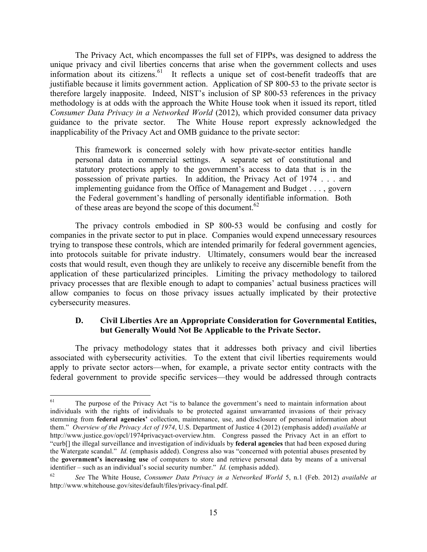The Privacy Act, which encompasses the full set of FIPPs, was designed to address the unique privacy and civil liberties concerns that arise when the government collects and uses information about its citizens.<sup>61</sup> It reflects a unique set of cost-benefit tradeoffs that are justifiable because it limits government action. Application of SP 800-53 to the private sector is therefore largely inapposite. Indeed, NIST's inclusion of SP 800-53 references in the privacy methodology is at odds with the approach the White House took when it issued its report, titled guidance to the private sector. The White House report expressly acknowledged the *Consumer Data Privacy in a Networked World* (2012), which provided consumer data privacy inapplicability of the Privacy Act and OMB guidance to the private sector:

 This framework is concerned solely with how private-sector entities handle personal data in commercial settings. A separate set of constitutional and statutory protections apply to the government's access to data that is in the possession of private parties. In addition, the Privacy Act of 1974 . . . and implementing guidance from the Office of Management and Budget . . . , govern the Federal government's handling of personally identifiable information. Both of these areas are beyond the scope of this document.<sup>62</sup>

 companies in the private sector to put in place. Companies would expend unnecessary resources trying to transpose these controls, which are intended primarily for federal government agencies, into protocols suitable for private industry. Ultimately, consumers would bear the increased costs that would result, even though they are unlikely to receive any discernible benefit from the application of these particularized principles. Limiting the privacy methodology to tailored privacy processes that are flexible enough to adapt to companies' actual business practices will allow companies to focus on those privacy issues actually implicated by their protective The privacy controls embodied in SP 800-53 would be confusing and costly for cybersecurity measures.

# **D. Civil Liberties Are an Appropriate Consideration for Governmental Entities, but Generally Would Not Be Applicable to the Private Sector.**

 The privacy methodology states that it addresses both privacy and civil liberties associated with cybersecurity activities. To the extent that civil liberties requirements would apply to private sector actors—when, for example, a private sector entity contracts with the federal government to provide specific services—they would be addressed through contracts

 individuals with the rights of individuals to be protected against unwarranted invasions of their privacy stemming from **federal agencies'** collection, maintenance, use, and disclosure of personal information about them." *Overview of the Privacy Act of 1974*, U.S. Department of Justice 4 (2012) (emphasis added) *available at*  http://www.justice.gov/opcl/1974privacyact-overview.htm. Congress passed the Privacy Act in an effort to "curb[] the illegal surveillance and investigation of individuals by **federal agencies** that had been exposed during the Watergate scandal." *Id.* (emphasis added). Congress also was "concerned with potential abuses presented by the **government's increasing use** of computers to store and retrieve personal data by means of a universal identifier – such as an individual's social security number."  $Id$ . (emphasis added). The purpose of the Privacy Act "is to balance the government's need to maintain information about

<sup>62</sup> See The White House, *Consumer Data Privacy in a Networked World* 5, n.1 (Feb. 2012) *available at* http://www.whitehouse.gov/sites/default/files/privacy-final.pdf.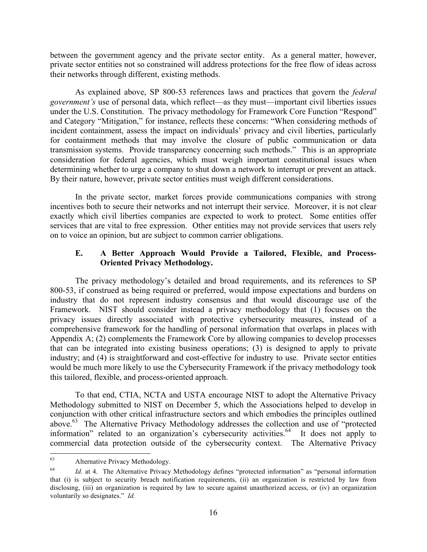between the government agency and the private sector entity. As a general matter, however, private sector entities not so constrained will address protections for the free flow of ideas across their networks through different, existing methods.

 As explained above, SP 800-53 references laws and practices that govern the *federal government's* use of personal data, which reflect—as they must—important civil liberties issues under the U.S. Constitution. The privacy methodology for Framework Core Function "Respond" and Category "Mitigation," for instance, reflects these concerns: "When considering methods of incident containment, assess the impact on individuals' privacy and civil liberties, particularly for containment methods that may involve the closure of public communication or data transmission systems. Provide transparency concerning such methods." This is an appropriate consideration for federal agencies, which must weigh important constitutional issues when determining whether to urge a company to shut down a network to interrupt or prevent an attack. By their nature, however, private sector entities must weigh different considerations.

 In the private sector, market forces provide communications companies with strong incentives both to secure their networks and not interrupt their service. Moreover, it is not clear exactly which civil liberties companies are expected to work to protect. Some entities offer services that are vital to free expression. Other entities may not provide services that users rely on to voice an opinion, but are subject to common carrier obligations.

## **E. A Better Approach Would Provide a Tailored, Flexible, and Process-Oriented Privacy Methodology.**

 The privacy methodology's detailed and broad requirements, and its references to SP industry that do not represent industry consensus and that would discourage use of the Framework. NIST should consider instead a privacy methodology that (1) focuses on the privacy issues directly associated with protective cybersecurity measures, instead of a comprehensive framework for the handling of personal information that overlaps in places with Appendix A; (2) complements the Framework Core by allowing companies to develop processes that can be integrated into existing business operations; (3) is designed to apply to private industry; and (4) is straightforward and cost-effective for industry to use. Private sector entities would be much more likely to use the Cybersecurity Framework if the privacy methodology took 800-53, if construed as being required or preferred, would impose expectations and burdens on this tailored, flexible, and process-oriented approach.

 To that end, CTIA, NCTA and USTA encourage NIST to adopt the Alternative Privacy conjunction with other critical infrastructure sectors and which embodies the principles outlined above.<sup>63</sup> The Alternative Privacy Methodology addresses the collection and use of "protected information" related to an organization's cybersecurity activities.<sup>64</sup> It does not apply to commercial data protection outside of the cybersecurity context. The Alternative Privacy Methodology submitted to NIST on December 5, which the Associations helped to develop in

 $\overline{a}$ Alternative Privacy Methodology.

<sup>64</sup>  that (i) is subject to security breach notification requirements, (ii) an organization is restricted by law from disclosing, (iii) an organization is required by law to secure against unauthorized access, or (iv) an organization voluntarily so designates." *Id.*  Id. at 4. The Alternative Privacy Methodology defines "protected information" as "personal information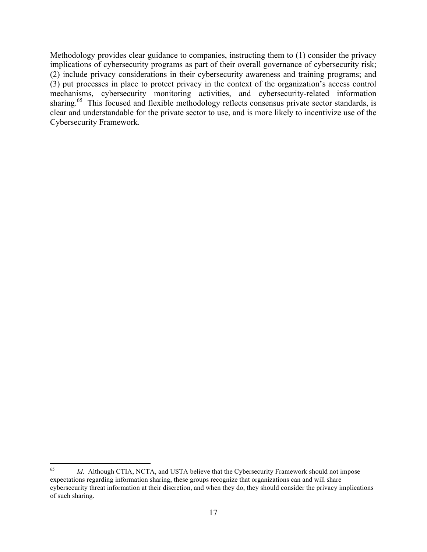implications of cybersecurity programs as part of their overall governance of cybersecurity risk; (3) put processes in place to protect privacy in the context of the organization's access control sharing.<sup>65</sup> This focused and flexible methodology reflects consensus private sector standards, is clear and understandable for the private sector to use, and is more likely to incentivize use of the Methodology provides clear guidance to companies, instructing them to (1) consider the privacy (2) include privacy considerations in their cybersecurity awareness and training programs; and mechanisms, cybersecurity monitoring activities, and cybersecurity-related information Cybersecurity Framework.

 $\overline{a}$  65 expectations regarding information sharing, these groups recognize that organizations can and will share cybersecurity threat information at their discretion, and when they do, they should consider the privacy implications *Id*. Although CTIA, NCTA, and USTA believe that the Cybersecurity Framework should not impose of such sharing.